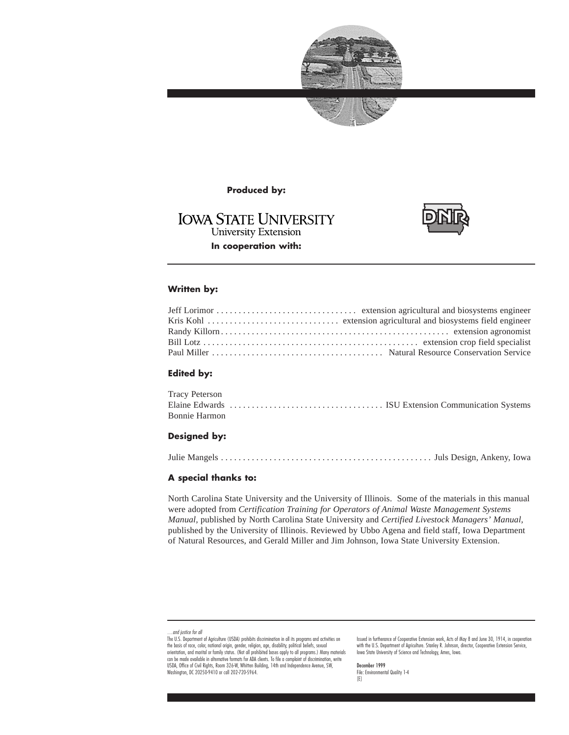



### **Produced by:**

# **IOWA STATE UNIVERSITY University Extension In cooperation with:**



### **Written by:**

### **Edited by:**

| Tracy Peterson |  |  |
|----------------|--|--|
|                |  |  |
| Bonnie Harmon  |  |  |

### **Designed by:**

Julie Mangels . . . . . . . . . . . . . . . . . . . . . . . . . . . . . . . . . . . . . . . . . . . . . . . . Juls Design, Ankeny, Iowa

### **A special thanks to:**

North Carolina State University and the University of Illinois. Some of the materials in this manual were adopted from *Certification Training for Operators of Animal Waste Management Systems Manual,* published by North Carolina State University and *Certified Livestock Managers' Manual,* published by the University of Illinois. Reviewed by Ubbo Agena and field staff, Iowa Department of Natural Resources, and Gerald Miller and Jim Johnson, Iowa State University Extension.

Issued in furtherance of Cooperative Extension work, Acts of May 8 and June 30, 1914, in cooperation with the U.S. Department of Agriculture. Stanley R. Johnson, director, Cooperative Extension Service, Iowa State University of Science and Technology, Ames, Iowa.

December 1999 File: Environmental Quality 1-4 [E]

<sup>…</sup>and justice for all

The U.S. Department of Agriculture (USDA) prohibits discrimination in all its programs and activities on the basis of race, color, national origin, gender, religion, age, disability, political beliefs, sexual<br>orientation, and marital or family status. (Not all prohibited bases apply to all programs.) Many materials can be made available in alternative formats for ADA clients. To file a complaint of discrimination, write USDA, Office of Civil Rights, Room 326-W, Whitten Building, 14th and Independence Avenue, SW, Washington, DC 20250-9410 or call 202-720-5964.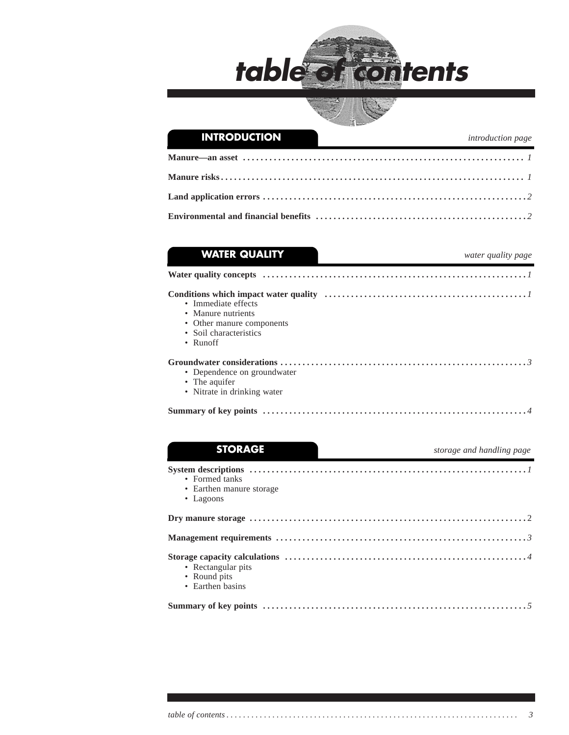



| <b>WATER QUALITY</b>                      | water quality page |
|-------------------------------------------|--------------------|
|                                           |                    |
|                                           |                    |
| • Immediate effects<br>• Manure nutrients |                    |
| • Other manure components                 |                    |
| • Soil characteristics                    |                    |
| • $Runoff$                                |                    |
|                                           |                    |
| • Dependence on groundwater               |                    |
| • The aquifer                             |                    |
| • Nitrate in drinking water               |                    |

| <b>STORAGE</b>                                                  | storage and handling page |
|-----------------------------------------------------------------|---------------------------|
| • Formed tanks<br>• Earthen manure storage<br>$\bullet$ Lagoons |                           |
|                                                                 |                           |
|                                                                 |                           |
| • Rectangular pits<br>• Round pits<br>• Earthen basins          |                           |
|                                                                 |                           |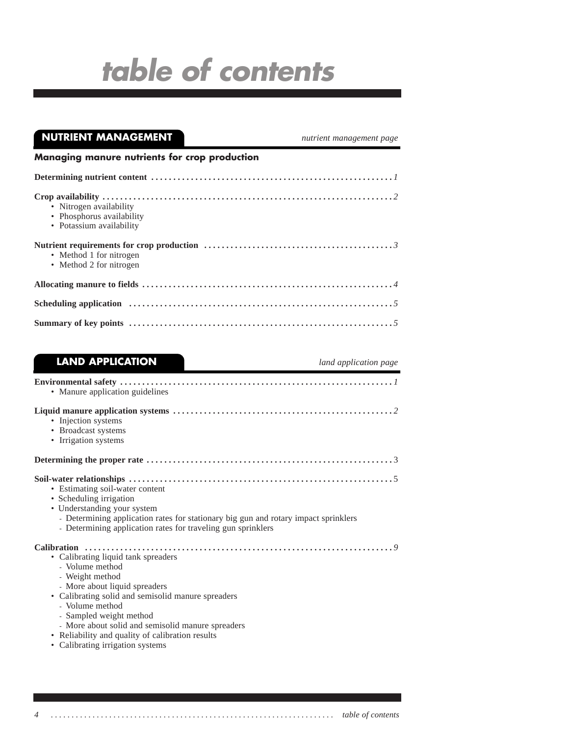| <b>NUTRIENT MANAGEMENT</b>                                                       | nutrient management page |
|----------------------------------------------------------------------------------|--------------------------|
| Managing manure nutrients for crop production                                    |                          |
|                                                                                  |                          |
| • Nitrogen availability<br>• Phosphorus availability<br>• Potassium availability |                          |
| • Method 1 for nitrogen<br>• Method 2 for nitrogen                               |                          |
|                                                                                  |                          |
|                                                                                  |                          |
|                                                                                  |                          |

# **LAND APPLICATION** *land application page*

| • Manure application guidelines                                                                                                                                                                                                                                                                                         |
|-------------------------------------------------------------------------------------------------------------------------------------------------------------------------------------------------------------------------------------------------------------------------------------------------------------------------|
| • Injection systems<br>• Broadcast systems<br>• Irrigation systems                                                                                                                                                                                                                                                      |
|                                                                                                                                                                                                                                                                                                                         |
| • Estimating soil-water content<br>• Scheduling irrigation<br>• Understanding your system<br>- Determining application rates for stationary big gun and rotary impact sprinklers<br>- Determining application rates for traveling gun sprinklers                                                                        |
| • Calibrating liquid tank spreaders<br>- Volume method<br>- Weight method<br>- More about liquid spreaders<br>• Calibrating solid and semisolid manure spreaders<br>- Volume method<br>- Sampled weight method<br>- More about solid and semisolid manure spreaders<br>• Reliability and quality of calibration results |

• Calibrating irrigation systems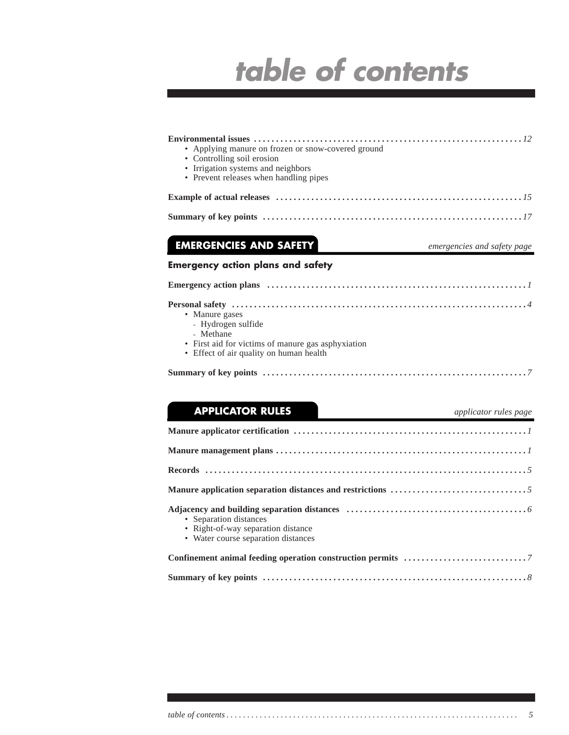| • Applying manure on frozen or snow-covered ground<br>• Controlling soil erosion<br>• Irrigation systems and neighbors<br>• Prevent releases when handling pipes |
|------------------------------------------------------------------------------------------------------------------------------------------------------------------|
|                                                                                                                                                                  |
|                                                                                                                                                                  |
| <b>EMERGENCIES AND SAFETY</b><br>emergencies and safety page                                                                                                     |
| <b>Emergency action plans and safety</b>                                                                                                                         |
|                                                                                                                                                                  |
| • Manure gases<br>- Hydrogen sulfide<br>- Methane<br>• First aid for victims of manure gas asphyxiation<br>• Effect of air quality on human health               |
| <b>APPLICATOR RULES</b><br>applicator rules page                                                                                                                 |
|                                                                                                                                                                  |
|                                                                                                                                                                  |
|                                                                                                                                                                  |
|                                                                                                                                                                  |
|                                                                                                                                                                  |

• Separation distances • Right-of-way separation distance

• Water course separation distances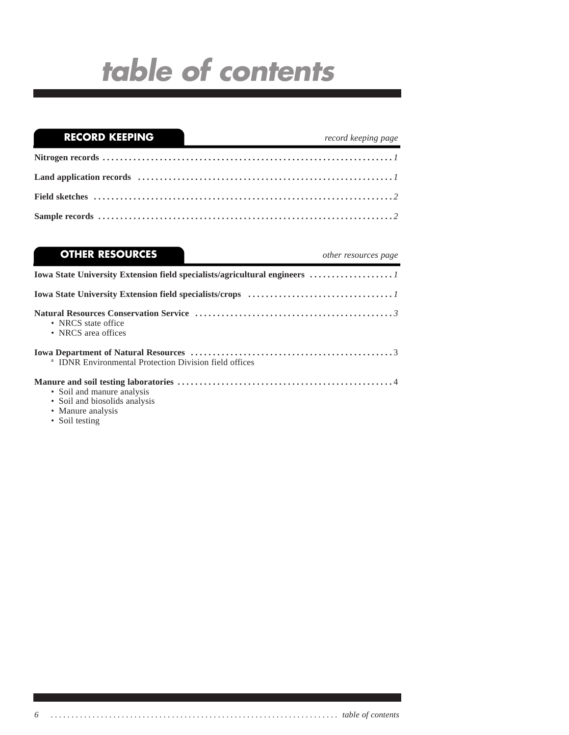| $\overline{\phantom{0}}$<br><b>RECORD KEEPING</b> | record keeping page |
|---------------------------------------------------|---------------------|
|                                                   |                     |
|                                                   |                     |
|                                                   |                     |
|                                                   |                     |

| <b>OTHER RESOURCES</b>                                                           | other resources page |
|----------------------------------------------------------------------------------|----------------------|
|                                                                                  |                      |
|                                                                                  |                      |
| • NRCS state office<br>• NRCS area offices                                       |                      |
| <sup>a</sup> IDNR Environmental Protection Division field offices                |                      |
| • Soil and manure analysis<br>• Soil and biosolids analysis<br>• Manure analysis |                      |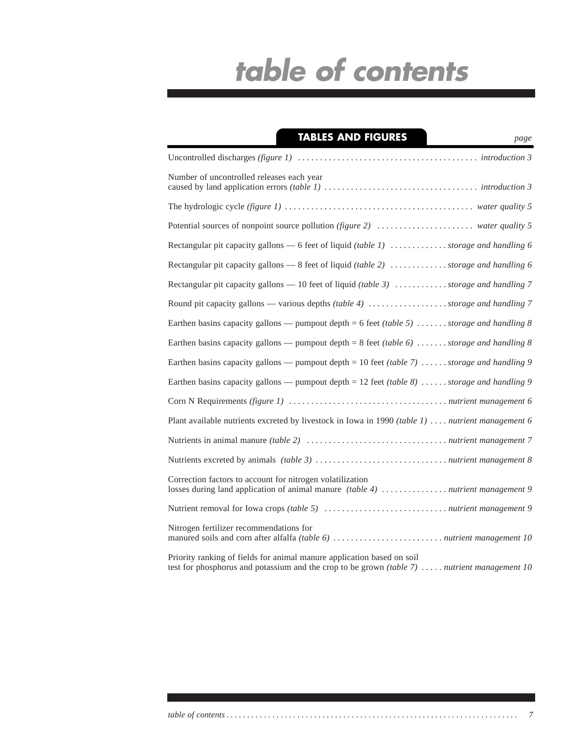| <b>TABLES AND FIGURES</b><br>page                                                                                                                                       |
|-------------------------------------------------------------------------------------------------------------------------------------------------------------------------|
|                                                                                                                                                                         |
| Number of uncontrolled releases each year                                                                                                                               |
|                                                                                                                                                                         |
|                                                                                                                                                                         |
| Rectangular pit capacity gallons — 6 feet of liquid (table 1) $\dots\dots\dots\dots$ storage and handling 6                                                             |
| Rectangular pit capacity gallons — 8 feet of liquid (table 2) storage and handling 6                                                                                    |
| Rectangular pit capacity gallons — 10 feet of liquid (table 3) $\dots \dots \dots$ storage and handling 7                                                               |
| Round pit capacity gallons — various depths (table 4) storage and handling 7                                                                                            |
| Earthen basins capacity gallons — pumpout depth = 6 feet (table 5)  storage and handling 8                                                                              |
| Earthen basins capacity gallons — pumpout depth = 8 feet (table 6)  storage and handling 8                                                                              |
| Earthen basins capacity gallons — pumpout depth = 10 feet (table 7) storage and handling 9                                                                              |
| Earthen basins capacity gallons — pumpout depth = 12 feet (table 8) storage and handling 9                                                                              |
|                                                                                                                                                                         |
| Plant available nutrients excreted by livestock in Iowa in 1990 (table 1)  nutrient management 6                                                                        |
|                                                                                                                                                                         |
|                                                                                                                                                                         |
| Correction factors to account for nitrogen volatilization<br>losses during land application of animal manure (table 4)  nutrient management 9                           |
|                                                                                                                                                                         |
| Nitrogen fertilizer recommendations for                                                                                                                                 |
| Priority ranking of fields for animal manure application based on soil<br>test for phosphorus and potassium and the crop to be grown (table $7)$ nutrient management 10 |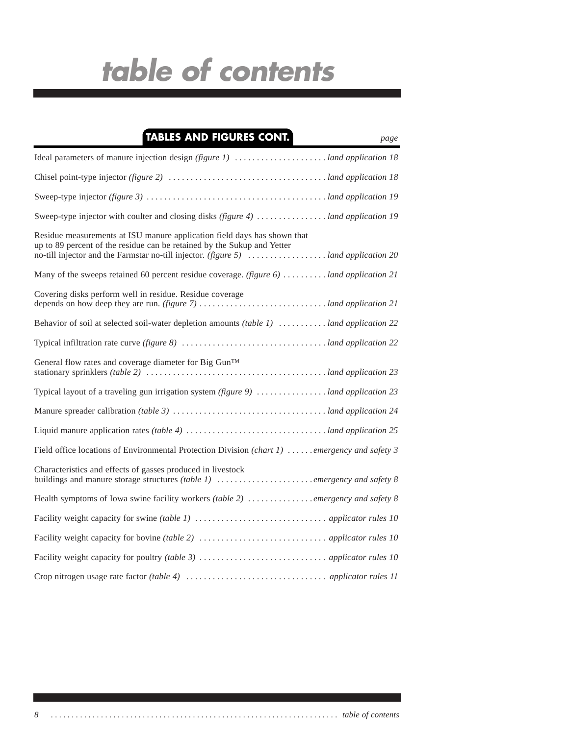# **TABLES AND FIGURES CONT.**

| Sweep-type injector with coulter and closing disks (figure 4)  land application 19                                                                  |
|-----------------------------------------------------------------------------------------------------------------------------------------------------|
| Residue measurements at ISU manure application field days has shown that<br>up to 89 percent of the residue can be retained by the Sukup and Yetter |
| Many of the sweeps retained 60 percent residue coverage. (figure 6)  land application 21                                                            |
| Covering disks perform well in residue. Residue coverage                                                                                            |
| Behavior of soil at selected soil-water depletion amounts <i>(table 1)</i> land application 22                                                      |
|                                                                                                                                                     |
| General flow rates and coverage diameter for Big Gun™                                                                                               |
|                                                                                                                                                     |
|                                                                                                                                                     |
|                                                                                                                                                     |
| Field office locations of Environmental Protection Division (chart 1)  emergency and safety 3                                                       |
| Characteristics and effects of gasses produced in livestock<br>buildings and manure storage structures (table 1) emergency and safety 8             |
|                                                                                                                                                     |
|                                                                                                                                                     |
|                                                                                                                                                     |
|                                                                                                                                                     |
|                                                                                                                                                     |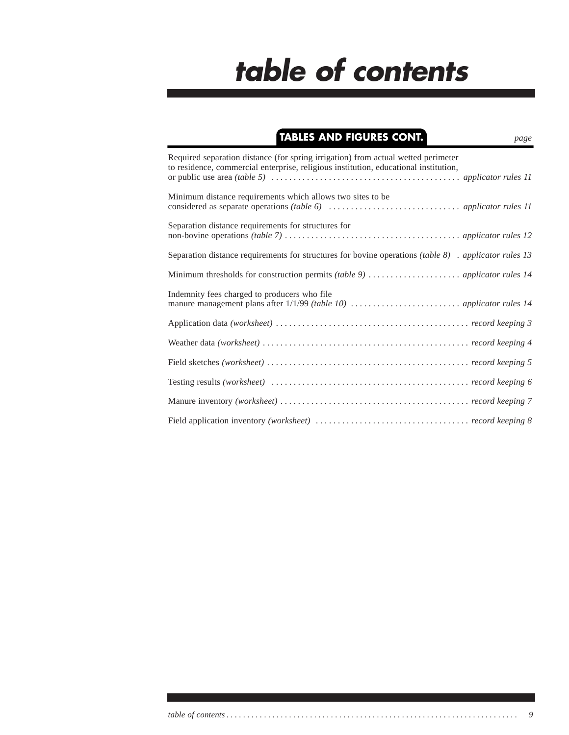# **TABLES AND FIGURES CONT.** *page*

| Required separation distance (for spring irrigation) from actual wetted perimeter<br>to residence, commercial enterprise, religious institution, educational institution, |
|---------------------------------------------------------------------------------------------------------------------------------------------------------------------------|
| Minimum distance requirements which allows two sites to be                                                                                                                |
| Separation distance requirements for structures for                                                                                                                       |
| Separation distance requirements for structures for bovine operations (table $8$ ) . applicator rules 13                                                                  |
|                                                                                                                                                                           |
| Indemnity fees charged to producers who file                                                                                                                              |
|                                                                                                                                                                           |
|                                                                                                                                                                           |
|                                                                                                                                                                           |
|                                                                                                                                                                           |
|                                                                                                                                                                           |
|                                                                                                                                                                           |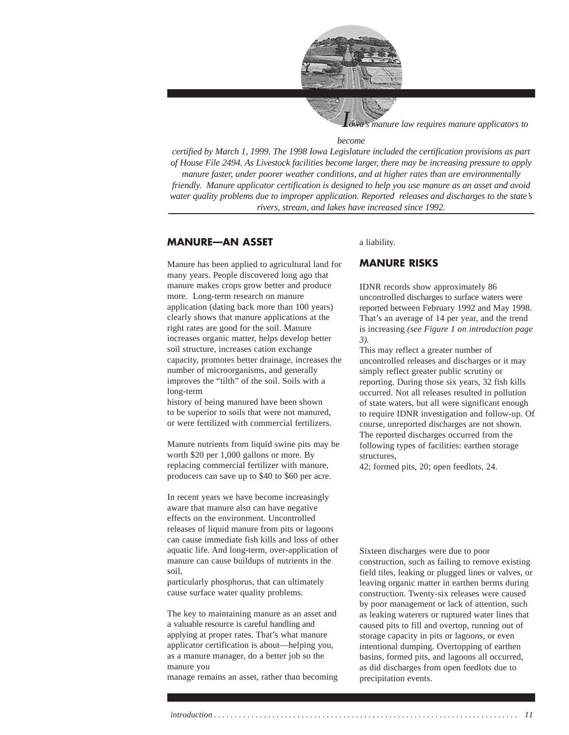

*manure law requires manure applicators to* 

#### *become*

*certified by March 1, 1999. The 1998 Iowa Legislature included the certification provisions as part of House File 2494. As Livestock facilities become larger, there may be increasing pressure to apply manure faster, under poorer weather conditions, and at higher rates than are environmentally friendly. Manure applicator certification is designed to help you use manure as an asset and avoid water quality problems due to improper application. Reported releases and discharges to the state's rivers, stream, and lakes have increased since 1992.*

### **MANURE—AN ASSET**

Manure has been applied to agricultural land for many years. People discovered long ago that manure makes crops grow better and produce more. Long-term research on manure application (dating back more than 100 years) clearly shows that manure applications at the right rates are good for the soil. Manure increases organic matter, helps develop better soil structure, increases cation exchange capacity, promotes better drainage, increases the number of microorganisms, and generally improves the "tilth" of the soil. Soils with a long-term

history of being manured have been shown to be superior to soils that were not manured, or were fertilized with commercial fertilizers.

Manure nutrients from liquid swine pits may be worth \$20 per 1,000 gallons or more. By replacing commercial fertilizer with manure, producers can save up to \$40 to \$60 per acre.

In recent years we have become increasingly aware that manure also can have negative effects on the environment. Uncontrolled releases of liquid manure from pits or lagoons can cause immediate fish kills and loss of other aquatic life. And long-term, over-application of manure can cause buildups of nutrients in the soil,

particularly phosphorus, that can ultimately cause surface water quality problems.

The key to maintaining manure as an asset and a valuable resource is careful handling and applying at proper rates. That's what manure applicator certification is about—helping you, as a manure manager, do a better job so the manure you

manage remains an asset, rather than becoming

### a liability.

### **MANURE RISKS**

IDNR records show approximately 86 uncontrolled discharges to surface waters were reported between February 1992 and May 1998. That's an average of 14 per year, and the trend is increasing *(see Figure 1 on introduction page 3).*

This may reflect a greater number of uncontrolled releases and discharges or it may simply reflect greater public scrutiny or reporting. During those six years, 32 fish kills occurred. Not all releases resulted in pollution of state waters, but all were significant enough to require IDNR investigation and follow-up. Of course, unreported discharges are not shown. The reported discharges occurred from the following types of facilities: earthen storage structures,

42; formed pits, 20; open feedlots, 24.

Sixteen discharges were due to poor construction, such as failing to remove existing field tiles, leaking or plugged lines or valves, or leaving organic matter in earthen berms during construction. Twenty-six releases were caused by poor management or lack of attention, such as leaking waterers or ruptured water lines that caused pits to fill and overtop, running out of storage capacity in pits or lagoons, or even intentional dumping. Overtopping of earthen basins, formed pits, and lagoons all occurred, as did discharges from open feedlots due to precipitation events.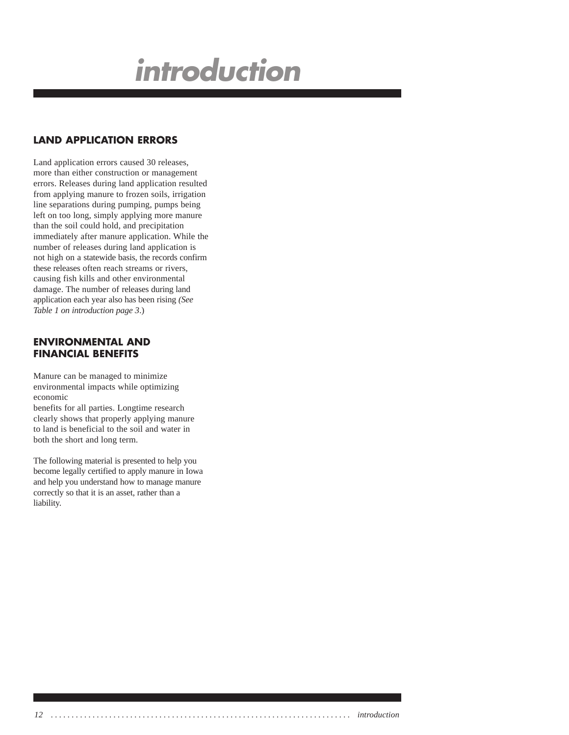# **introduction**

# **LAND APPLICATION ERRORS**

Land application errors caused 30 releases, more than either construction or management errors. Releases during land application resulted from applying manure to frozen soils, irrigation line separations during pumping, pumps being left on too long, simply applying more manure than the soil could hold, and precipitation immediately after manure application. While the number of releases during land application is not high on a statewide basis, the records confirm these releases often reach streams or rivers, causing fish kills and other environmental damage. The number of releases during land application each year also has been rising *(See Table 1 on introduction page 3*.)

## **ENVIRONMENTAL AND FINANCIAL BENEFITS**

Manure can be managed to minimize environmental impacts while optimizing economic

benefits for all parties. Longtime research clearly shows that properly applying manure to land is beneficial to the soil and water in both the short and long term.

The following material is presented to help you become legally certified to apply manure in Iowa and help you understand how to manage manure correctly so that it is an asset, rather than a liability.